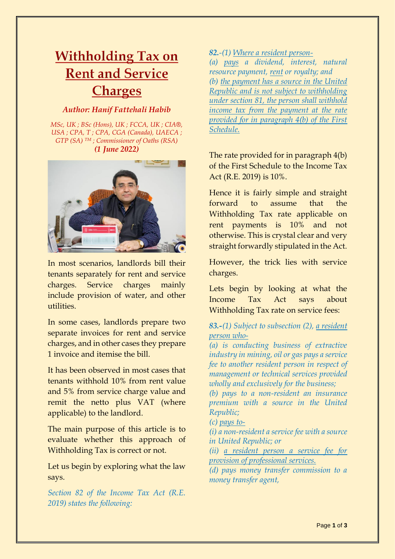## **Withholding Tax on Rent and Service Charges**

## *Author: Hanif Fattehali Habib*

*MSc, UK ; BSc (Hons), UK ; FCCA, UK ; CIA®, USA ; CPA, T ; CPA, CGA (Canada), UAECA ; GTP (SA) TM ; Commissioner of Oaths (RSA) (1 June 2022)*



In most scenarios, landlords bill their tenants separately for rent and service charges. Service charges mainly include provision of water, and other utilities.

In some cases, landlords prepare two separate invoices for rent and service charges, and in other cases they prepare 1 invoice and itemise the bill.

It has been observed in most cases that tenants withhold 10% from rent value and 5% from service charge value and remit the netto plus VAT (where applicable) to the landlord.

The main purpose of this article is to evaluate whether this approach of Withholding Tax is correct or not.

Let us begin by exploring what the law says.

*Section 82 of the Income Tax Act (R.E. 2019) states the following:*

## *82.-(1) Where a resident person-*

*(a) pays a dividend, interest, natural resource payment, rent or royalty; and (b) the payment has a source in the United Republic and is not subject to withholding under section 81, the person shall withhold income tax from the payment at the rate provided for in paragraph 4(b) of the First Schedule.*

The rate provided for in paragraph 4(b) of the First Schedule to the Income Tax Act (R.E. 2019) is 10%.

Hence it is fairly simple and straight forward to assume that the Withholding Tax rate applicable on rent payments is 10% and not otherwise. This is crystal clear and very straight forwardly stipulated in the Act.

However, the trick lies with service charges.

Lets begin by looking at what the Income Tax Act says about Withholding Tax rate on service fees:

*83.-(1) Subject to subsection (2), a resident person who-*

*(a) is conducting business of extractive industry in mining, oil or gas pays a service fee to another resident person in respect of management or technical services provided wholly and exclusively for the business;*

*(b) pays to a non-resident an insurance premium with a source in the United Republic;*

*(c) pays to-*

*(i) a non-resident a service fee with a source in United Republic; or*

*(ii) a resident person a service fee for provision of professional services.*

*(d) pays money transfer commission to a money transfer agent,*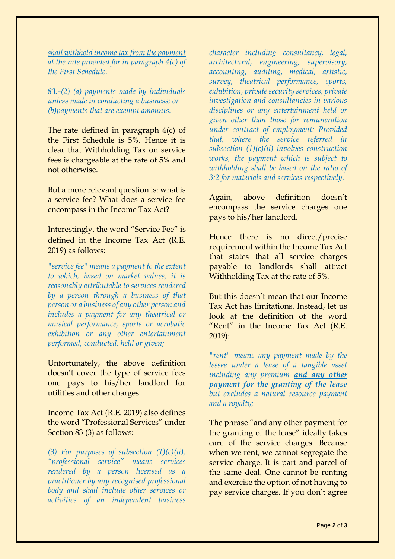*shall withhold income tax from the payment at the rate provided for in paragraph 4(c) of the First Schedule.*

*83.-(2) (a) payments made by individuals unless made in conducting a business; or (b)payments that are exempt amounts.*

The rate defined in paragraph 4(c) of the First Schedule is 5%. Hence it is clear that Withholding Tax on service fees is chargeable at the rate of 5% and not otherwise.

But a more relevant question is: what is a service fee? What does a service fee encompass in the Income Tax Act?

Interestingly, the word "Service Fee" is defined in the Income Tax Act (R.E. 2019) as follows:

*"service fee" means a payment to the extent to which, based on market values, it is reasonably attributable to services rendered by a person through a business of that person or a business of any other person and includes a payment for any theatrical or musical performance, sports or acrobatic exhibition or any other entertainment performed, conducted, held or given;*

Unfortunately, the above definition doesn't cover the type of service fees one pays to his/her landlord for utilities and other charges.

Income Tax Act (R.E. 2019) also defines the word "Professional Services" under Section 83 (3) as follows:

*(3) For purposes of subsection (1)(c)(ii), "professional service" means services rendered by a person licensed as a practitioner by any recognised professional body and shall include other services or activities of an independent business*  *character including consultancy, legal, architectural, engineering, supervisory, accounting, auditing, medical, artistic, survey, theatrical performance, sports, exhibition, private security services, private investigation and consultancies in various disciplines or any entertainment held or given other than those for remuneration under contract of employment: Provided that, where the service referred in subsection (1)(c)(ii) involves construction works, the payment which is subject to withholding shall be based on the ratio of 3:2 for materials and services respectively.*

Again, above definition doesn't encompass the service charges one pays to his/her landlord.

Hence there is no direct/precise requirement within the Income Tax Act that states that all service charges payable to landlords shall attract Withholding Tax at the rate of 5%.

But this doesn't mean that our Income Tax Act has limitations. Instead, let us look at the definition of the word "Rent" in the Income Tax Act (R.E. 2019):

*"rent" means any payment made by the lessee under a lease of a tangible asset including any premium and any other payment for the granting of the lease but excludes a natural resource payment and a royalty;*

The phrase "and any other payment for the granting of the lease" ideally takes care of the service charges. Because when we rent, we cannot segregate the service charge. It is part and parcel of the same deal. One cannot be renting and exercise the option of not having to pay service charges. If you don't agree